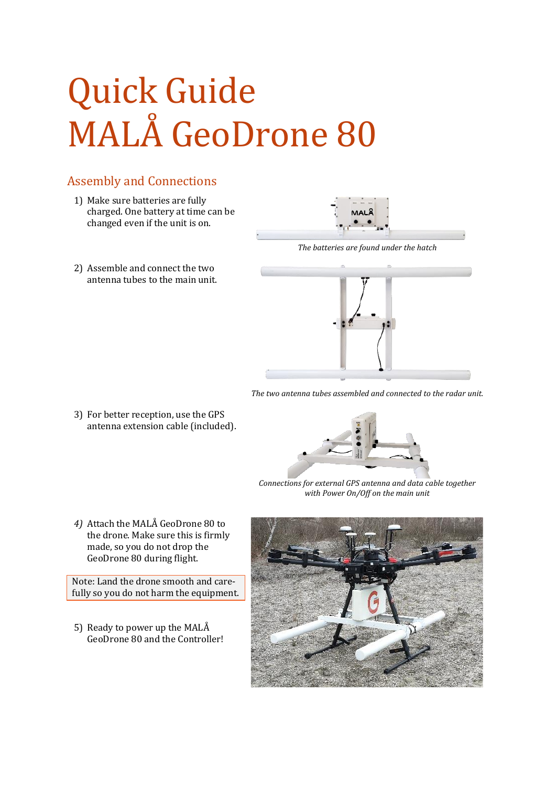## Quick Guide MALÅ GeoDrone 80

## Assembly and Connections

- 1) Make sure batteries are fully charged. One battery at time can be changed even if the unit is on.
- 2) Assemble and connect the two antenna tubes to the main unit.



*The batteries are found under the hatch*



*The two antenna tubes assembled and connected to the radar unit.*

3) For better reception, use the GPS antenna extension cable (included).



*Connections for external GPS antenna and data cable together with Power On/Off on the main unit*

*4)* Attach the MALÅ GeoDrone 80 to the drone. Make sure this is firmly made, so you do not drop the GeoDrone 80 during flight.

Note: Land the drone smooth and carefully so you do not harm the equipment.

5) Ready to power up the MALÅ GeoDrone 80 and the Controller!